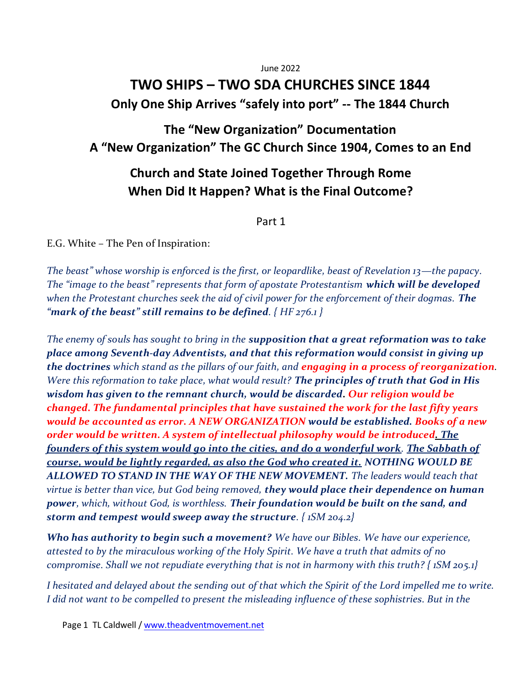June 2022

# **TWO SHIPS – TWO SDA CHURCHES SINCE 1844 Only One Ship Arrives "safely into port" -- The 1844 Church**

# **The "New Organization" Documentation A "New Organization" The GC Church Since 1904, Comes to an End**

# **Church and State Joined Together Through Rome When Did It Happen? What is the Final Outcome?**

Part 1

E.G. White – The Pen of Inspiration:

*The beast" whose worship is enforced is the first, or leopardlike, beast of Revelation 13—the papacy. The "image to the beast" represents that form of apostate Protestantism which will be developed when the Protestant churches seek the aid of civil power for the enforcement of their dogmas. The "mark of the beast" still remains to be defined. { HF 276.1 }*

*The enemy of souls has sought to bring in the supposition that a great reformation was to take place among Seventh-day Adventists, and that this reformation would consist in giving up the doctrines which stand as the pillars of our faith, and engaging in a process of reorganization. Were this reformation to take place, what would result? The principles of truth that God in His wisdom has given to the remnant church, would be discarded. Our religion would be changed. The fundamental principles that have sustained the work for the last fifty years would be accounted as error. A NEW ORGANIZATION would be established. Books of a new order would be written. A system of intellectual philosophy would be introduced. The founders of this system would go into the cities, and do a wonderful work. The Sabbath of course, would be lightly regarded, as also the God who created it. NOTHING WOULD BE ALLOWED TO STAND IN THE WAY OF THE NEW MOVEMENT. The leaders would teach that virtue is better than vice, but God being removed, they would place their dependence on human power, which, without God, is worthless. Their foundation would be built on the sand, and storm and tempest would sweep away the structure. { 1SM 204.2}*

*Who has authority to begin such a movement? We have our Bibles. We have our experience, attested to by the miraculous working of the Holy Spirit. We have a truth that admits of no compromise. Shall we not repudiate everything that is not in harmony with this truth? { 1SM 205.1}* 

*I hesitated and delayed about the sending out of that which the Spirit of the Lord impelled me to write. I did not want to be compelled to present the misleading influence of these sophistries. But in the*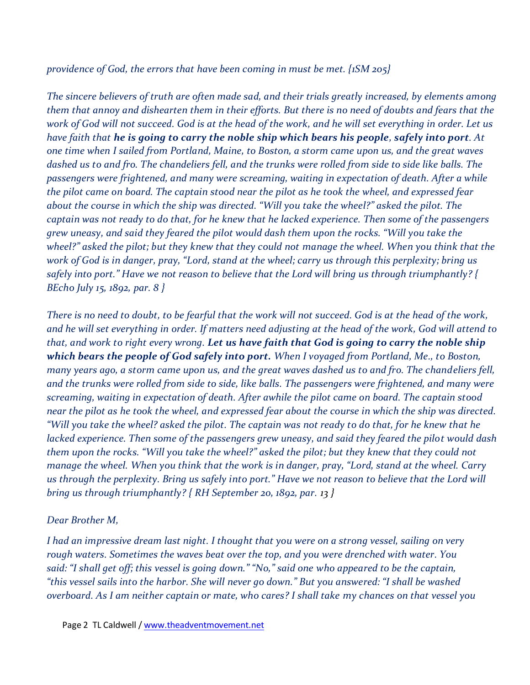*providence of God, the errors that have been coming in must be met. {1SM 205}*

*The sincere believers of truth are often made sad, and their trials greatly increased, by elements among them that annoy and dishearten them in their efforts. But there is no need of doubts and fears that the work of God will not succeed. God is at the head of the work, and he will set everything in order. Let us have faith that he is going to carry the noble ship which bears his people, safely into port. At one time when I sailed from Portland, Maine, to Boston, a storm came upon us, and the great waves dashed us to and fro. The chandeliers fell, and the trunks were rolled from side to side like balls. The passengers were frightened, and many were screaming, waiting in expectation of death. After a while the pilot came on board. The captain stood near the pilot as he took the wheel, and expressed fear about the course in which the ship was directed. "Will you take the wheel?" asked the pilot. The captain was not ready to do that, for he knew that he lacked experience. Then some of the passengers grew uneasy, and said they feared the pilot would dash them upon the rocks. "Will you take the wheel?" asked the pilot; but they knew that they could not manage the wheel. When you think that the work of God is in danger, pray, "Lord, stand at the wheel; carry us through this perplexity; bring us safely into port." Have we not reason to believe that the Lord will bring us through triumphantly? { BEcho July 15, 1892, par. 8 }*

*There is no need to doubt, to be fearful that the work will not succeed. God is at the head of the work, and he will set everything in order. If matters need adjusting at the head of the work, God will attend to that, and work to right every wrong. Let us have faith that God is going to carry the noble ship which bears the people of God safely into port. When I voyaged from Portland, Me., to Boston, many years ago, a storm came upon us, and the great waves dashed us to and fro. The chandeliers fell, and the trunks were rolled from side to side, like balls. The passengers were frightened, and many were screaming, waiting in expectation of death. After awhile the pilot came on board. The captain stood near the pilot as he took the wheel, and expressed fear about the course in which the ship was directed. "Will you take the wheel? asked the pilot. The captain was not ready to do that, for he knew that he lacked experience. Then some of the passengers grew uneasy, and said they feared the pilot would dash them upon the rocks. "Will you take the wheel?" asked the pilot; but they knew that they could not manage the wheel. When you think that the work is in danger, pray, "Lord, stand at the wheel. Carry us through the perplexity. Bring us safely into port." Have we not reason to believe that the Lord will bring us through triumphantly? { RH September 20, 1892, par. 13 }*

#### *Dear Brother M,*

*I had an impressive dream last night. I thought that you were on a strong vessel, sailing on very rough waters. Sometimes the waves beat over the top, and you were drenched with water. You said: "I shall get off; this vessel is going down." "No," said one who appeared to be the captain, "this vessel sails into the harbor. She will never go down." But you answered: "I shall be washed overboard. As I am neither captain or mate, who cares? I shall take my chances on that vessel you*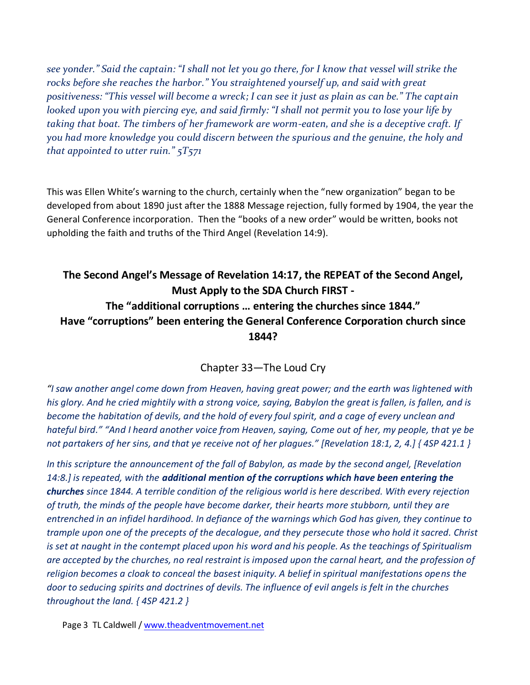*see yonder." Said the captain: "I shall not let you go there, for I know that vessel will strike the rocks before she reaches the harbor." You straightened yourself up, and said with great positiveness: "This vessel will become a wreck; I can see it just as plain as can be." The captain looked upon you with piercing eye, and said firmly: "I shall not permit you to lose your life by taking that boat. The timbers of her framework are worm-eaten, and she is a deceptive craft. If you had more knowledge you could discern between the spurious and the genuine, the holy and that appointed to utter ruin." 5T571*

This was Ellen White's warning to the church, certainly when the "new organization" began to be developed from about 1890 just after the 1888 Message rejection, fully formed by 1904, the year the General Conference incorporation. Then the "books of a new order" would be written, books not upholding the faith and truths of the Third Angel (Revelation 14:9).

# **The Second Angel's Message of Revelation 14:17, the REPEAT of the Second Angel, Must Apply to the SDA Church FIRST - The "additional corruptions … entering the churches since 1844." Have "corruptions" been entering the General Conference Corporation church since 1844?**

Chapter 33—The Loud Cry

*"I saw another angel come down from Heaven, having great power; and the earth was lightened with his glory. And he cried mightily with a strong voice, saying, Babylon the great is fallen, is fallen, and is become the habitation of devils, and the hold of every foul spirit, and a cage of every unclean and hateful bird." "And I heard another voice from Heaven, saying, Come out of her, my people, that ye be not partakers of her sins, and that ye receive not of her plagues." [Revelation 18:1, 2, 4.] { 4SP 421.1 }* 

*In this scripture the announcement of the fall of Babylon, as made by the second angel, [Revelation 14:8.] is repeated, with the additional mention of the corruptions which have been entering the churches since 1844. A terrible condition of the religious world is here described. With every rejection of truth, the minds of the people have become darker, their hearts more stubborn, until they are entrenched in an infidel hardihood. In defiance of the warnings which God has given, they continue to trample upon one of the precepts of the decalogue, and they persecute those who hold it sacred. Christ is set at naught in the contempt placed upon his word and his people. As the teachings of Spiritualism are accepted by the churches, no real restraint is imposed upon the carnal heart, and the profession of religion becomes a cloak to conceal the basest iniquity. A belief in spiritual manifestations opens the door to seducing spirits and doctrines of devils. The influence of evil angels is felt in the churches throughout the land. { 4SP 421.2 }*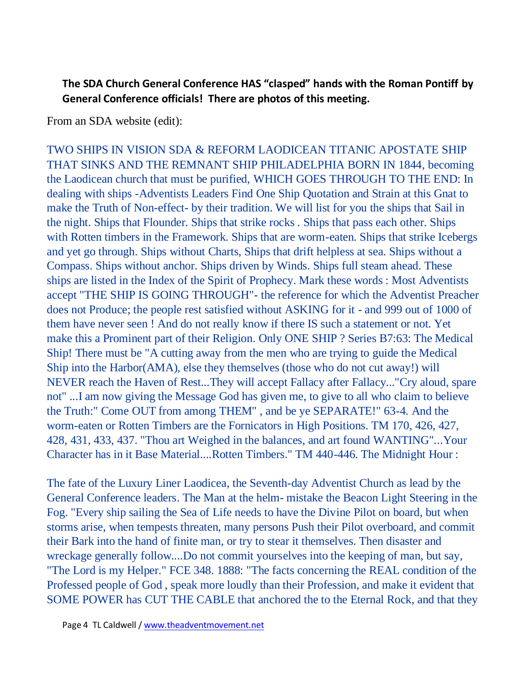## **The SDA Church General Conference HAS "clasped" hands with the Roman Pontiff by General Conference officials! There are photos of this meeting.**

From an SDA website (edit):

TWO SHIPS IN VISION SDA & REFORM LAODICEAN TITANIC APOSTATE SHIP THAT SINKS AND THE REMNANT SHIP PHILADELPHIA BORN IN 1844, becoming the Laodicean church that must be purified, WHICH GOES THROUGH TO THE END: In dealing with ships -Adventists Leaders Find One Ship Quotation and Strain at this Gnat to make the Truth of Non-effect- by their tradition. We will list for you the ships that Sail in the night. Ships that Flounder. Ships that strike rocks . Ships that pass each other. Ships with Rotten timbers in the Framework. Ships that are worm-eaten. Ships that strike Icebergs and yet go through. Ships without Charts, Ships that drift helpless at sea. Ships without a Compass. Ships without anchor. Ships driven by Winds. Ships full steam ahead. These ships are listed in the Index of the Spirit of Prophecy. Mark these words : Most Adventists accept "THE SHIP IS GOING THROUGH"- the reference for which the Adventist Preacher does not Produce; the people rest satisfied without ASKING for it - and 999 out of 1000 of them have never seen ! And do not really know if there IS such a statement or not. Yet make this a Prominent part of their Religion. Only ONE SHIP ? Series B7:63: The Medical Ship! There must be "A cutting away from the men who are trying to guide the Medical Ship into the Harbor(AMA), else they themselves (those who do not cut away!) will NEVER reach the Haven of Rest...They will accept Fallacy after Fallacy..."Cry aloud, spare not" ...I am now giving the Message God has given me, to give to all who claim to believe the Truth:" Come OUT from among THEM" , and be ye SEPARATE!" 63-4. And the worm-eaten or Rotten Timbers are the Fornicators in High Positions. TM 170, 426, 427, 428, 431, 433, 437. "Thou art Weighed in the balances, and art found WANTING"...Your Character has in it Base Material....Rotten Timbers." TM 440-446. The Midnight Hour :

The fate of the Luxury Liner Laodicea, the Seventh-day Adventist Church as lead by the General Conference leaders. The Man at the helm- mistake the Beacon Light Steering in the Fog. "Every ship sailing the Sea of Life needs to have the Divine Pilot on board, but when storms arise, when tempests threaten, many persons Push their Pilot overboard, and commit their Bark into the hand of finite man, or try to stear it themselves. Then disaster and wreckage generally follow....Do not commit yourselves into the keeping of man, but say, "The Lord is my Helper." FCE 348. 1888: "The facts concerning the REAL condition of the Professed people of God , speak more loudly than their Profession, and make it evident that SOME POWER has CUT THE CABLE that anchored the to the Eternal Rock, and that they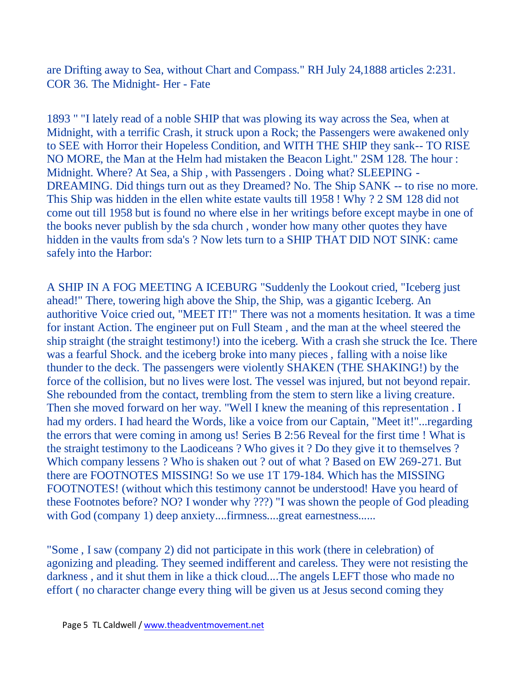are Drifting away to Sea, without Chart and Compass." RH July 24,1888 articles 2:231. COR 36. The Midnight- Her - Fate

1893 " "I lately read of a noble SHIP that was plowing its way across the Sea, when at Midnight, with a terrific Crash, it struck upon a Rock; the Passengers were awakened only to SEE with Horror their Hopeless Condition, and WITH THE SHIP they sank-- TO RISE NO MORE, the Man at the Helm had mistaken the Beacon Light." 2SM 128. The hour : Midnight. Where? At Sea, a Ship , with Passengers . Doing what? SLEEPING - DREAMING. Did things turn out as they Dreamed? No. The Ship SANK -- to rise no more. This Ship was hidden in the ellen white estate vaults till 1958 ! Why ? 2 SM 128 did not come out till 1958 but is found no where else in her writings before except maybe in one of the books never publish by the sda church , wonder how many other quotes they have hidden in the vaults from sda's ? Now lets turn to a SHIP THAT DID NOT SINK: came safely into the Harbor:

A SHIP IN A FOG MEETING A ICEBURG "Suddenly the Lookout cried, "Iceberg just ahead!" There, towering high above the Ship, the Ship, was a gigantic Iceberg. An authoritive Voice cried out, "MEET IT!" There was not a moments hesitation. It was a time for instant Action. The engineer put on Full Steam , and the man at the wheel steered the ship straight (the straight testimony!) into the iceberg. With a crash she struck the Ice. There was a fearful Shock. and the iceberg broke into many pieces , falling with a noise like thunder to the deck. The passengers were violently SHAKEN (THE SHAKING!) by the force of the collision, but no lives were lost. The vessel was injured, but not beyond repair. She rebounded from the contact, trembling from the stem to stern like a living creature. Then she moved forward on her way. "Well I knew the meaning of this representation . I had my orders. I had heard the Words, like a voice from our Captain, "Meet it!"...regarding the errors that were coming in among us! Series B 2:56 Reveal for the first time ! What is the straight testimony to the Laodiceans ? Who gives it ? Do they give it to themselves ? Which company lessens ? Who is shaken out ? out of what ? Based on EW 269-271. But there are FOOTNOTES MISSING! So we use 1T 179-184. Which has the MISSING FOOTNOTES! (without which this testimony cannot be understood! Have you heard of these Footnotes before? NO? I wonder why ???) "I was shown the people of God pleading with God (company 1) deep anxiety....firmness....great earnestness......

"Some , I saw (company 2) did not participate in this work (there in celebration) of agonizing and pleading. They seemed indifferent and careless. They were not resisting the darkness , and it shut them in like a thick cloud....The angels LEFT those who made no effort ( no character change every thing will be given us at Jesus second coming they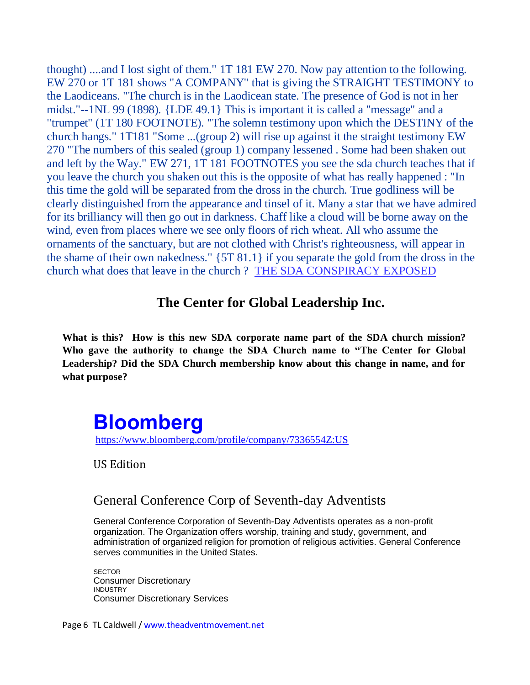thought) ....and I lost sight of them." 1T 181 EW 270. Now pay attention to the following. EW 270 or 1T 181 shows "A COMPANY" that is giving the STRAIGHT TESTIMONY to the Laodiceans. "The church is in the Laodicean state. The presence of God is not in her midst."--1NL 99 (1898). {LDE 49.1} This is important it is called a "message" and a "trumpet" (1T 180 FOOTNOTE). "The solemn testimony upon which the DESTINY of the church hangs." 1T181 "Some ...(group 2) will rise up against it the straight testimony EW 270 "The numbers of this sealed (group 1) company lessened . Some had been shaken out and left by the Way." EW 271, 1T 181 FOOTNOTES you see the sda church teaches that if you leave the church you shaken out this is the opposite of what has really happened : "In this time the gold will be separated from the dross in the church. True godliness will be clearly distinguished from the appearance and tinsel of it. Many a star that we have admired for its brilliancy will then go out in darkness. Chaff like a cloud will be borne away on the wind, even from places where we see only floors of rich wheat. All who assume the ornaments of the sanctuary, but are not clothed with Christ's righteousness, will appear in the shame of their own nakedness." {5T 81.1} if you separate the gold from the dross in the church what does that leave in the church ? [THE SDA CONSPIRACY EXPOSED](http://hometown.aol.com/tekoa777/index.html)

## **The Center for Global Leadership Inc.**

**What is this? How is this new SDA corporate name part of the SDA church mission? Who gave the authority to change the SDA Church name to "The Center for Global Leadership? Did the SDA Church membership know about this change in name, and for what purpose?**

# **[Bloomberg](https://www.bloomberg.com/)** <https://www.bloomberg.com/profile/company/7336554Z:US>

US Edition

## General Conference Corp of Seventh-day Adventists

General Conference Corporation of Seventh-Day Adventists operates as a non-profit organization. The Organization offers worship, training and study, government, and administration of organized religion for promotion of religious activities. General Conference serves communities in the United States.

**SECTOR** Consumer Discretionary INDUSTRY Consumer Discretionary Services

Page 6 TL Caldwell [/ www.theadventmovement.net](http://www.theadventmovement.net/)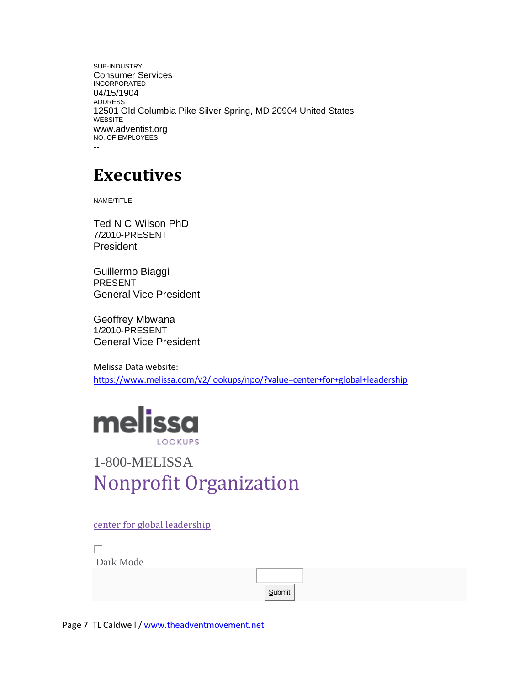SUB-INDUSTRY Consumer Services INCORPORATED 04/15/1904 ADDRESS 12501 Old Columbia Pike Silver Spring, MD 20904 United States WEBSITE www.adventist.org NO. OF EMPLOYEES --

# **Executives**

[NAME/TITLE](https://www.bloomberg.com/profiles/people/17712788-ted-n-c-wilson)

[Ted N C Wilson PhD](https://www.bloomberg.com/profiles/people/17712788-ted-n-c-wilson) [7/2010-PRESENT](https://www.bloomberg.com/profiles/people/17712788-ted-n-c-wilson) **[President](https://www.bloomberg.com/profiles/people/17712788-ted-n-c-wilson)** 

[Guillermo Biaggi](https://www.bloomberg.com/profiles/people/20072814-guillermo-biaggi) [PRESENT](https://www.bloomberg.com/profiles/people/20072814-guillermo-biaggi) [General Vice President](https://www.bloomberg.com/profiles/people/20072814-guillermo-biaggi)

[Geoffrey Mbwana](https://www.bloomberg.com/profiles/people/20072777-geoffrey-mbwana) [1/2010-PRESENT](https://www.bloomberg.com/profiles/people/20072777-geoffrey-mbwana) [General Vice President](https://www.bloomberg.com/profiles/people/20072777-geoffrey-mbwana)

Melissa Data website: <https://www.melissa.com/v2/lookups/npo/?value=center+for+global+leadership>



# [1-800-MELISSA](tel:+18006354772) Nonprofit Organization

[center for global leadership](https://www.melissa.com/v2/lookups/npo/value/center%20for%20global%20leadership)

П

Dark Mode

**Submit**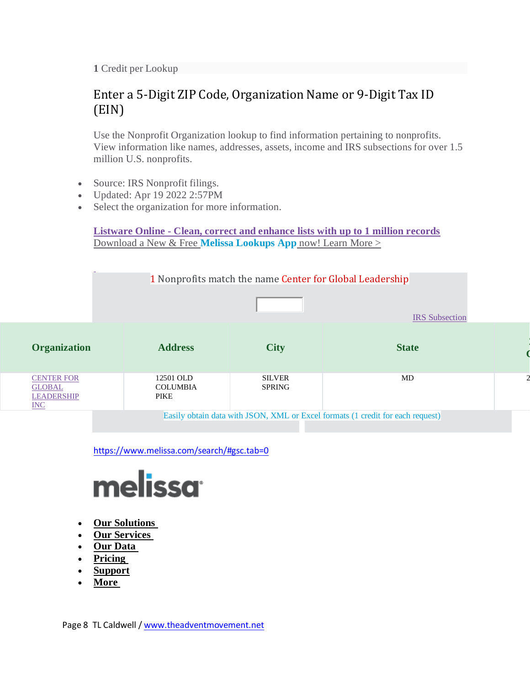**1** Credit per Lookup

# Enter a 5-Digit ZIP Code, Organization Name or 9-Digit Tax ID (EIN)

Use the Nonprofit Organization lookup to find information pertaining to nonprofits. View information like names, addresses, assets, income and IRS subsections for over 1.5 million U.S. nonprofits.

- Source: IRS Nonprofit filings.
- Updated: Apr 19 2022 2:57PM
- Select the organization for more information.

**Listware Online - [Clean, correct and enhance lists with up to 1 million records](https://www.melissa.com/service/listware_online/uploadws.aspx)** [Download a New & Free](https://www.melissa.com/v2/lookups/ad/mobileapp) **Melissa Lookups App** now! Learn More [>](https://play.google.com/store/apps/details?id=com.melissa.lookupsmobileapp&utm_source=Lookups%20App%20Download&utm_campaign=Google%20Play&pcampaignid=pcampaignidMKT-Other-global-all-co-prtnr-py-PartBadge-Mar2515-1)



<https://www.melissa.com/search/#gsc.tab=0>



- **[Our Solutions](https://www.melissa.com/search/)**
- **[Our Services](https://www.melissa.com/search/)**
- **[Our Data](https://www.melissa.com/search/)**
- **[Pricing](https://www.melissa.com/search/)**
- **[Support](https://www.melissa.com/company/product-support)**
- **[More](https://www.melissa.com/search/)**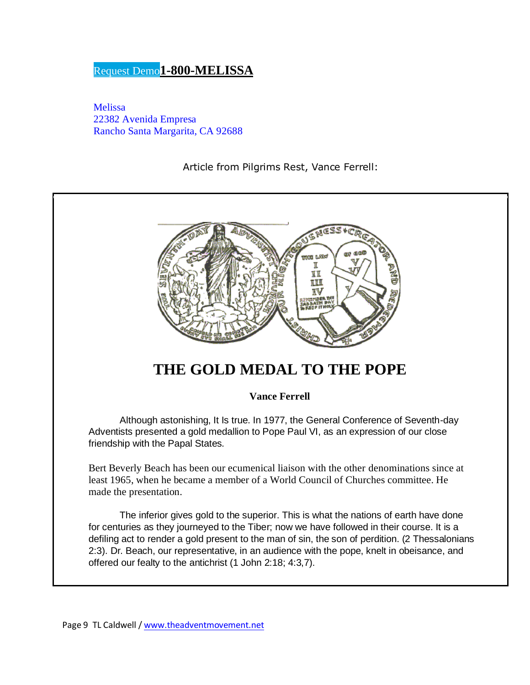## [Request](https://www.melissa.com/request-demo?product=demo+nav) Demo**[1-800-MELISSA](tel:%20+18006354772)**

[Melissa](https://www.google.com/maps/place/Melissa/@33.6375465,-117.6068725,15z/data=!4m2!3m1!1s0x0:0xd8cbc01cf3aad6eb?sa=X&ved=2ahUKEwi91ub--8X2AhXomGoFHac7CrUQ_BJ6BAg0EAU) 22382 Avenida [Empresa](https://www.google.com/maps/place/Melissa/@33.6375465,-117.6068725,15z/data=!4m2!3m1!1s0x0:0xd8cbc01cf3aad6eb?sa=X&ved=2ahUKEwi91ub--8X2AhXomGoFHac7CrUQ_BJ6BAg0EAU) Rancho Santa [Margarita,](https://www.google.com/maps/place/Melissa/@33.6375465,-117.6068725,15z/data=!4m2!3m1!1s0x0:0xd8cbc01cf3aad6eb?sa=X&ved=2ahUKEwi91ub--8X2AhXomGoFHac7CrUQ_BJ6BAg0EAU) CA 92688

Article from Pilgrims Rest, Vance Ferrell:



# **THE GOLD MEDAL TO THE POPE**

**Vance Ferrell**

Although astonishing, It Is true. In 1977, the General Conference of Seventh-day Adventists presented a gold medallion to Pope Paul VI, as an expression of our close friendship with the Papal States.

Bert Beverly Beach has been our ecumenical liaison with the other denominations since at least 1965, when he became a member of a World Council of Churches committee. He made the presentation.

The inferior gives gold to the superior. This is what the nations of earth have done for centuries as they journeyed to the Tiber; now we have followed in their course. It is a defiling act to render a gold present to the man of sin, the son of perdition. (2 Thessalonians 2:3). Dr. Beach, our representative, in an audience with the pope, knelt in obeisance, and offered our fealty to the antichrist (1 John 2:18; 4:3,7).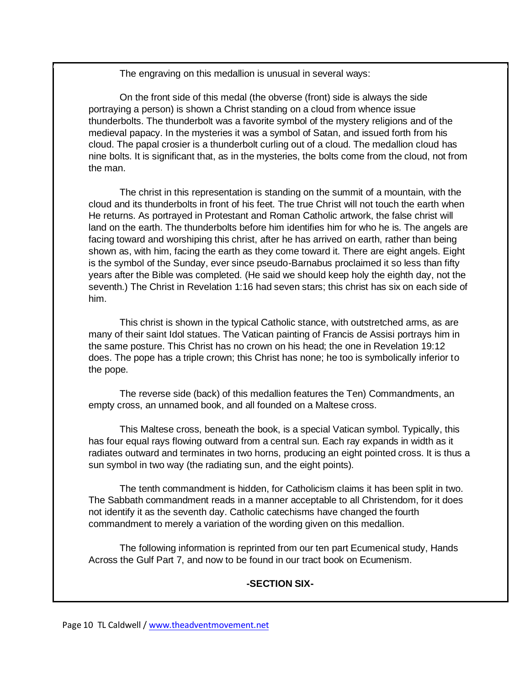The engraving on this medallion is unusual in several ways:

On the front side of this medal (the obverse (front) side is always the side portraying a person) is shown a Christ standing on a cloud from whence issue thunderbolts. The thunderbolt was a favorite symbol of the mystery religions and of the medieval papacy. In the mysteries it was a symbol of Satan, and issued forth from his cloud. The papal crosier is a thunderbolt curling out of a cloud. The medallion cloud has nine bolts. It is significant that, as in the mysteries, the bolts come from the cloud, not from the man.

The christ in this representation is standing on the summit of a mountain, with the cloud and its thunderbolts in front of his feet. The true Christ will not touch the earth when He returns. As portrayed in Protestant and Roman Catholic artwork, the false christ will land on the earth. The thunderbolts before him identifies him for who he is. The angels are facing toward and worshiping this christ, after he has arrived on earth, rather than being shown as, with him, facing the earth as they come toward it. There are eight angels. Eight is the symbol of the Sunday, ever since pseudo-Barnabus proclaimed it so less than fifty years after the Bible was completed. (He said we should keep holy the eighth day, not the seventh.) The Christ in Revelation 1:16 had seven stars; this christ has six on each side of him.

This christ is shown in the typical Catholic stance, with outstretched arms, as are many of their saint Idol statues. The Vatican painting of Francis de Assisi portrays him in the same posture. This Christ has no crown on his head; the one in Revelation 19:12 does. The pope has a triple crown; this Christ has none; he too is symbolically inferior to the pope.

The reverse side (back) of this medallion features the Ten) Commandments, an empty cross, an unnamed book, and all founded on a Maltese cross.

This Maltese cross, beneath the book, is a special Vatican symbol. Typically, this has four equal rays flowing outward from a central sun. Each ray expands in width as it radiates outward and terminates in two horns, producing an eight pointed cross. It is thus a sun symbol in two way (the radiating sun, and the eight points).

The tenth commandment is hidden, for Catholicism claims it has been split in two. The Sabbath commandment reads in a manner acceptable to all Christendom, for it does not identify it as the seventh day. Catholic catechisms have changed the fourth commandment to merely a variation of the wording given on this medallion.

The following information is reprinted from our ten part Ecumenical study, Hands Across the Gulf Part 7, and now to be found in our tract book on Ecumenism.

#### **-SECTION SIX-**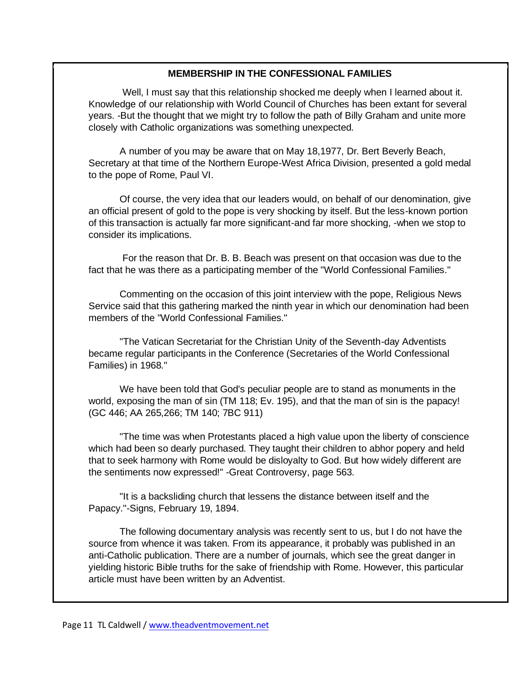#### **MEMBERSHIP IN THE CONFESSIONAL FAMILIES**

Well, I must say that this relationship shocked me deeply when I learned about it. Knowledge of our relationship with World Council of Churches has been extant for several years. -But the thought that we might try to follow the path of Billy Graham and unite more closely with Catholic organizations was something unexpected.

A number of you may be aware that on May 18,1977, Dr. Bert Beverly Beach, Secretary at that time of the Northern Europe-West Africa Division, presented a gold medal to the pope of Rome, Paul VI.

Of course, the very idea that our leaders would, on behalf of our denomination, give an official present of gold to the pope is very shocking by itself. But the less-known portion of this transaction is actually far more significant-and far more shocking, -when we stop to consider its implications.

For the reason that Dr. B. B. Beach was present on that occasion was due to the fact that he was there as a participating member of the "World Confessional Families."

Commenting on the occasion of this joint interview with the pope, Religious News Service said that this gathering marked the ninth year in which our denomination had been members of the "World Confessional Families."

"The Vatican Secretariat for the Christian Unity of the Seventh-day Adventists became regular participants in the Conference (Secretaries of the World Confessional Families) in 1968."

We have been told that God's peculiar people are to stand as monuments in the world, exposing the man of sin (TM 118; Ev. 195), and that the man of sin is the papacy! (GC 446; AA 265,266; TM 140; 7BC 911)

"The time was when Protestants placed a high value upon the liberty of conscience which had been so dearly purchased. They taught their children to abhor popery and held that to seek harmony with Rome would be disloyalty to God. But how widely different are the sentiments now expressed!" -Great Controversy, page 563.

"It is a backsliding church that lessens the distance between itself and the Papacy."-Signs, February 19, 1894.

The following documentary analysis was recently sent to us, but I do not have the source from whence it was taken. From its appearance, it probably was published in an anti-Catholic publication. There are a number of journals, which see the great danger in yielding historic Bible truths for the sake of friendship with Rome. However, this particular article must have been written by an Adventist.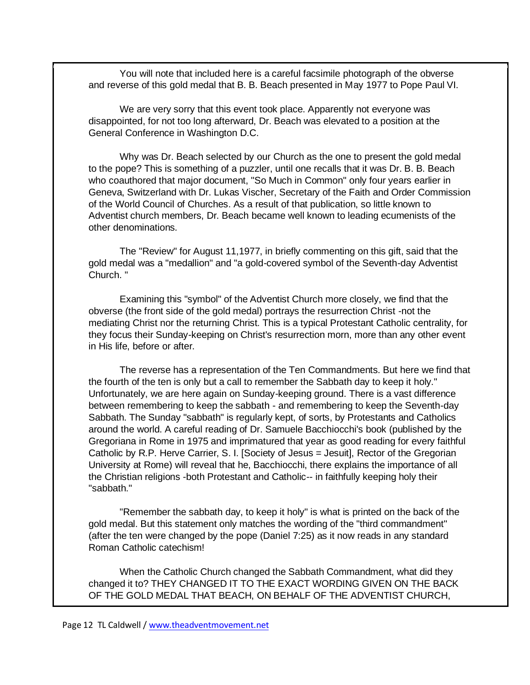You will note that included here is a careful facsimile photograph of the obverse and reverse of this gold medal that B. B. Beach presented in May 1977 to Pope Paul VI.

We are very sorry that this event took place. Apparently not everyone was disappointed, for not too long afterward, Dr. Beach was elevated to a position at the General Conference in Washington D.C.

Why was Dr. Beach selected by our Church as the one to present the gold medal to the pope? This is something of a puzzler, until one recalls that it was Dr. B. B. Beach who coauthored that major document, "So Much in Common" only four years earlier in Geneva, Switzerland with Dr. Lukas Vischer, Secretary of the Faith and Order Commission of the World Council of Churches. As a result of that publication, so little known to Adventist church members, Dr. Beach became well known to leading ecumenists of the other denominations.

The "Review" for August 11,1977, in briefly commenting on this gift, said that the gold medal was a "medallion" and "a gold-covered symbol of the Seventh-day Adventist Church. "

Examining this "symbol" of the Adventist Church more closely, we find that the obverse (the front side of the gold medal) portrays the resurrection Christ -not the mediating Christ nor the returning Christ. This is a typical Protestant Catholic centrality, for they focus their Sunday-keeping on Christ's resurrection morn, more than any other event in His life, before or after.

The reverse has a representation of the Ten Commandments. But here we find that the fourth of the ten is only but a call to remember the Sabbath day to keep it holy." Unfortunately, we are here again on Sunday-keeping ground. There is a vast difference between remembering to keep the sabbath - and remembering to keep the Seventh-day Sabbath. The Sunday "sabbath" is regularly kept, of sorts, by Protestants and Catholics around the world. A careful reading of Dr. Samuele Bacchiocchi's book (published by the Gregoriana in Rome in 1975 and imprimatured that year as good reading for every faithful Catholic by R.P. Herve Carrier, S. I. [Society of Jesus = Jesuit], Rector of the Gregorian University at Rome) will reveal that he, Bacchiocchi, there explains the importance of all the Christian religions -both Protestant and Catholic-- in faithfully keeping holy their "sabbath."

"Remember the sabbath day, to keep it holy" is what is printed on the back of the gold medal. But this statement only matches the wording of the "third commandment" (after the ten were changed by the pope (Daniel 7:25) as it now reads in any standard Roman Catholic catechism!

When the Catholic Church changed the Sabbath Commandment, what did they changed it to? THEY CHANGED IT TO THE EXACT WORDING GIVEN ON THE BACK OF THE GOLD MEDAL THAT BEACH, ON BEHALF OF THE ADVENTIST CHURCH,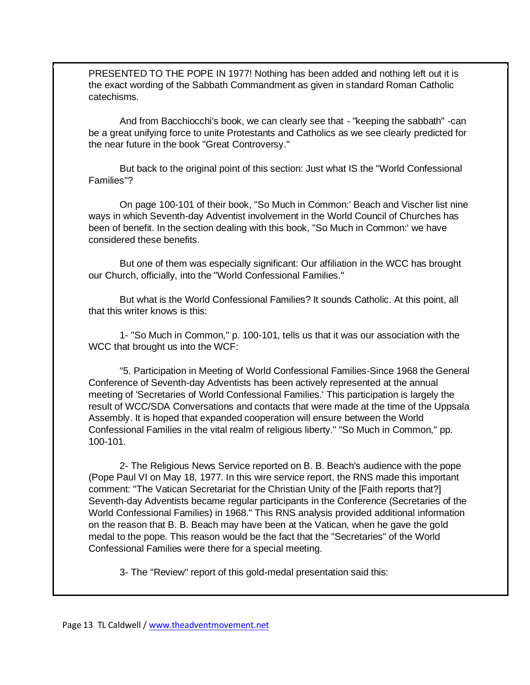PRESENTED TO THE POPE IN 1977! Nothing has been added and nothing left out it is the exact wording of the Sabbath Commandment as given in standard Roman Catholic catechisms.

And from Bacchiocchi's book, we can clearly see that - "keeping the sabbath" -can be a great unifying force to unite Protestants and Catholics as we see clearly predicted for the near future in the book "Great Controversy."

But back to the original point of this section: Just what IS the "World Confessional Families"?

On page 100-101 of their book, "So Much in Common:' Beach and Vischer list nine ways in which Seventh-day Adventist involvement in the World Council of Churches has been of benefit. In the section dealing with this book, "So Much in Common:' we have considered these benefits.

But one of them was especially significant: Our affiliation in the WCC has brought our Church, officially, into the "World Confessional Families."

But what is the World Confessional Families? It sounds Catholic. At this point, all that this writer knows is this:

1- "So Much in Common," p. 100-101, tells us that it was our association with the WCC that brought us into the WCF:

"5. Participation in Meeting of World Confessional Families-Since 1968 the General Conference of Seventh-day Adventists has been actively represented at the annual meeting of 'Secretaries of World Confessional Families.' This participation is largely the result of WCC/SDA Conversations and contacts that were made at the time of the Uppsala Assembly. It is hoped that expanded cooperation will ensure between the World Confessional Families in the vital realm of religious liberty." "So Much in Common," pp. 100-101.

2- The Religious News Service reported on B. B. Beach's audience with the pope (Pope Paul VI on May 18, 1977. In this wire service report, the RNS made this important comment: "The Vatican Secretariat for the Christian Unity of the [Faith reports that?] Seventh-day Adventists became regular participants in the Conference (Secretaries of the World Confessional Families) in 1968." This RNS analysis provided additional information on the reason that B. B. Beach may have been at the Vatican, when he gave the gold medal to the pope. This reason would be the fact that the "Secretaries" of the World Confessional Families were there for a special meeting.

3- The "Review" report of this gold-medal presentation said this: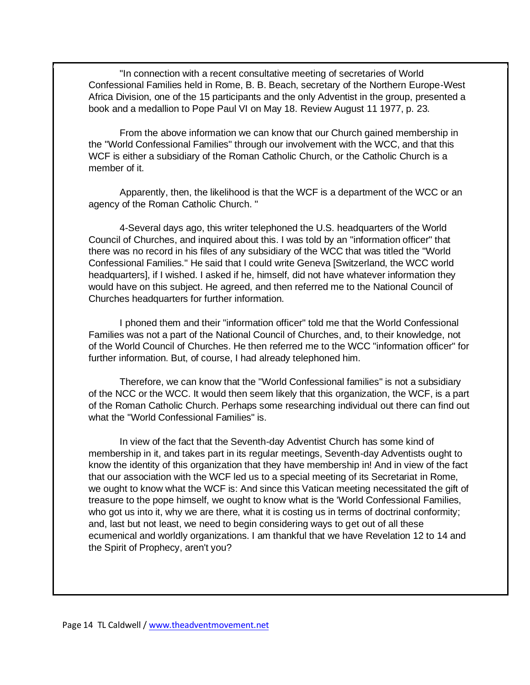"In connection with a recent consultative meeting of secretaries of World Confessional Families held in Rome, B. B. Beach, secretary of the Northern Europe-West Africa Division, one of the 15 participants and the only Adventist in the group, presented a book and a medallion to Pope Paul VI on May 18. Review August 11 1977, p. 23.

From the above information we can know that our Church gained membership in the "World Confessional Families" through our involvement with the WCC, and that this WCF is either a subsidiary of the Roman Catholic Church, or the Catholic Church is a member of it.

Apparently, then, the likelihood is that the WCF is a department of the WCC or an agency of the Roman Catholic Church. "

4-Several days ago, this writer telephoned the U.S. headquarters of the World Council of Churches, and inquired about this. I was told by an "information officer" that there was no record in his files of any subsidiary of the WCC that was titled the "World Confessional Families." He said that I could write Geneva [Switzerland, the WCC world headquarters], if I wished. I asked if he, himself, did not have whatever information they would have on this subject. He agreed, and then referred me to the National Council of Churches headquarters for further information.

I phoned them and their "information officer" told me that the World Confessional Families was not a part of the National Council of Churches, and, to their knowledge, not of the World Council of Churches. He then referred me to the WCC "information officer" for further information. But, of course, I had already telephoned him.

Therefore, we can know that the "World Confessional families" is not a subsidiary of the NCC or the WCC. It would then seem likely that this organization, the WCF, is a part of the Roman Catholic Church. Perhaps some researching individual out there can find out what the "World Confessional Families" is.

In view of the fact that the Seventh-day Adventist Church has some kind of membership in it, and takes part in its regular meetings, Seventh-day Adventists ought to know the identity of this organization that they have membership in! And in view of the fact that our association with the WCF led us to a special meeting of its Secretariat in Rome, we ought to know what the WCF is: And since this Vatican meeting necessitated the gift of treasure to the pope himself, we ought to know what is the 'World Confessional Families, who got us into it, why we are there, what it is costing us in terms of doctrinal conformity; and, last but not least, we need to begin considering ways to get out of all these ecumenical and worldly organizations. I am thankful that we have Revelation 12 to 14 and the Spirit of Prophecy, aren't you?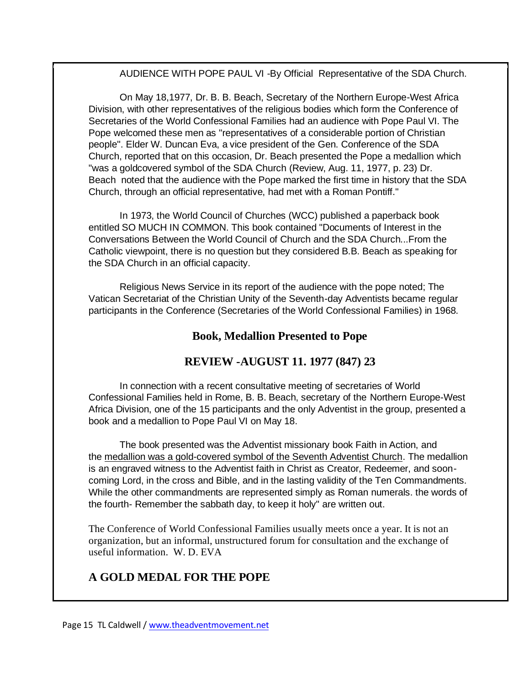AUDIENCE WITH POPE PAUL VI -By Official Representative of the SDA Church.

On May 18,1977, Dr. B. B. Beach, Secretary of the Northern Europe-West Africa Division, with other representatives of the religious bodies which form the Conference of Secretaries of the World Confessional Families had an audience with Pope Paul VI. The Pope welcomed these men as "representatives of a considerable portion of Christian people". Elder W. Duncan Eva, a vice president of the Gen. Conference of the SDA Church, reported that on this occasion, Dr. Beach presented the Pope a medallion which "was a goldcovered symbol of the SDA Church (Review, Aug. 11, 1977, p. 23) Dr. Beach noted that the audience with the Pope marked the first time in history that the SDA Church, through an official representative, had met with a Roman Pontiff."

In 1973, the World Council of Churches (WCC) published a paperback book entitled SO MUCH IN COMMON. This book contained "Documents of Interest in the Conversations Between the World Council of Church and the SDA Church...From the Catholic viewpoint, there is no question but they considered B.B. Beach as speaking for the SDA Church in an official capacity.

Religious News Service in its report of the audience with the pope noted; The Vatican Secretariat of the Christian Unity of the Seventh-day Adventists became regular participants in the Conference (Secretaries of the World Confessional Families) in 1968.

## **Book, Medallion Presented to Pope**

## **REVIEW -AUGUST 11. 1977 (847) 23**

In connection with a recent consultative meeting of secretaries of World Confessional Families held in Rome, B. B. Beach, secretary of the Northern Europe-West Africa Division, one of the 15 participants and the only Adventist in the group, presented a book and a medallion to Pope Paul VI on May 18.

The book presented was the Adventist missionary book Faith in Action, and the medallion was a gold-covered symbol of the Seventh Adventist Church. The medallion is an engraved witness to the Adventist faith in Christ as Creator, Redeemer, and sooncoming Lord, in the cross and Bible, and in the lasting validity of the Ten Commandments. While the other commandments are represented simply as Roman numerals. the words of the fourth- Remember the sabbath day, to keep it holy" are written out.

The Conference of World Confessional Families usually meets once a year. It is not an organization, but an informal, unstructured forum for consultation and the exchange of useful information. W. D. EVA

## **A GOLD MEDAL FOR THE POPE**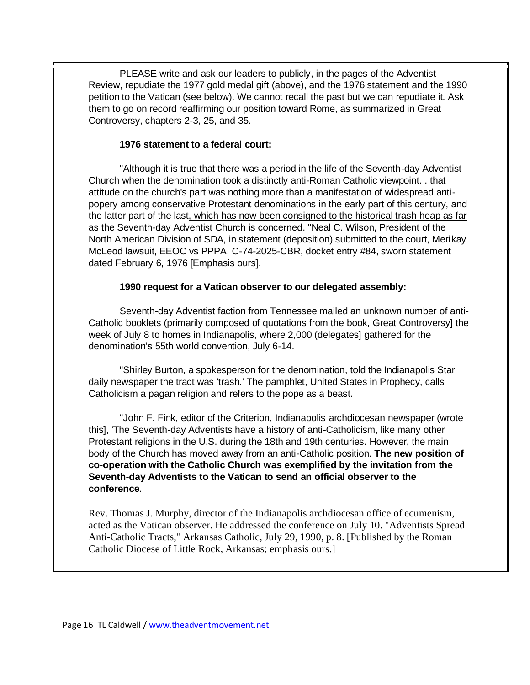PLEASE write and ask our leaders to publicly, in the pages of the Adventist Review, repudiate the 1977 gold medal gift (above), and the 1976 statement and the 1990 petition to the Vatican (see below). We cannot recall the past but we can repudiate it. Ask them to go on record reaffirming our position toward Rome, as summarized in Great Controversy, chapters 2-3, 25, and 35.

#### **1976 statement to a federal court:**

"Although it is true that there was a period in the life of the Seventh-day Adventist Church when the denomination took a distinctly anti-Roman Catholic viewpoint. . that attitude on the church's part was nothing more than a manifestation of widespread antipopery among conservative Protestant denominations in the early part of this century, and the latter part of the last, which has now been consigned to the historical trash heap as far as the Seventh-day Adventist Church is concerned. "Neal C. Wilson, President of the North American Division of SDA, in statement (deposition) submitted to the court, Merikay McLeod lawsuit, EEOC vs PPPA, C-74-2025-CBR, docket entry #84, sworn statement dated February 6, 1976 [Emphasis ours].

#### **1990 request for a Vatican observer to our delegated assembly:**

Seventh-day Adventist faction from Tennessee mailed an unknown number of anti-Catholic booklets (primarily composed of quotations from the book, Great Controversy] the week of July 8 to homes in Indianapolis, where 2,000 (delegates] gathered for the denomination's 55th world convention, July 6-14.

"Shirley Burton, a spokesperson for the denomination, told the Indianapolis Star daily newspaper the tract was 'trash.' The pamphlet, United States in Prophecy, calls Catholicism a pagan religion and refers to the pope as a beast.

"John F. Fink, editor of the Criterion, Indianapolis archdiocesan newspaper (wrote this], 'The Seventh-day Adventists have a history of anti-Catholicism, like many other Protestant religions in the U.S. during the 18th and 19th centuries. However, the main body of the Church has moved away from an anti-Catholic position. **The new position of co-operation with the Catholic Church was exemplified by the invitation from the Seventh-day Adventists to the Vatican to send an official observer to the conference**.

Rev. Thomas J. Murphy, director of the Indianapolis archdiocesan office of ecumenism, acted as the Vatican observer. He addressed the conference on July 10. "Adventists Spread Anti-Catholic Tracts," Arkansas Catholic, July 29, 1990, p. 8. [Published by the Roman Catholic Diocese of Little Rock, Arkansas; emphasis ours.]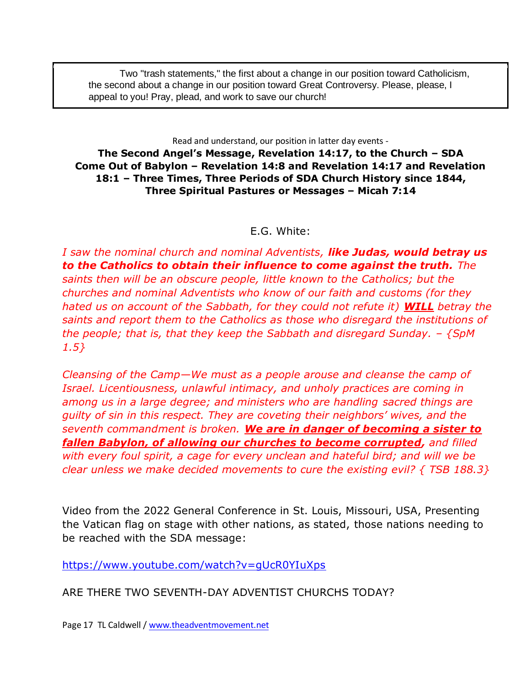Two "trash statements," the first about a change in our position toward Catholicism, the second about a change in our position toward Great Controversy. Please, please, I appeal to you! Pray, plead, and work to save our church!

Read and understand, our position in latter day events -

**The Second Angel's Message, Revelation 14:17, to the Church – SDA Come Out of Babylon – Revelation 14:8 and Revelation 14:17 and Revelation 18:1 – Three Times, Three Periods of SDA Church History since 1844, Three Spiritual Pastures or Messages – Micah 7:14**

#### E.G. White:

*I saw the nominal church and nominal Adventists, like Judas, would betray us to the Catholics to obtain their influence to come against the truth. The saints then will be an obscure people, little known to the Catholics; but the churches and nominal Adventists who know of our faith and customs (for they hated us on account of the Sabbath, for they could not refute it) WILL betray the saints and report them to the Catholics as those who disregard the institutions of the people; that is, that they keep the Sabbath and disregard Sunday. – {SpM 1.5}*

*Cleansing of the Camp—We must as a people arouse and cleanse the camp of Israel. Licentiousness, unlawful intimacy, and unholy practices are coming in among us in a large degree; and ministers who are handling sacred things are guilty of sin in this respect. They are coveting their neighbors' wives, and the seventh commandment is broken. We are in danger of becoming a sister to fallen Babylon, of allowing our churches to become corrupted, and filled with every foul spirit, a cage for every unclean and hateful bird; and will we be clear unless we make decided movements to cure the existing evil? { TSB 188.3}*

Video from the 2022 General Conference in St. Louis, Missouri, USA, Presenting the Vatican flag on stage with other nations, as stated, those nations needing to be reached with the SDA message:

<https://www.youtube.com/watch?v=gUcR0YIuXps>

ARE THERE TWO SEVENTH-DAY ADVENTIST CHURCHS TODAY?

Page 17 TL Caldwell [/ www.theadventmovement.net](http://www.theadventmovement.net/)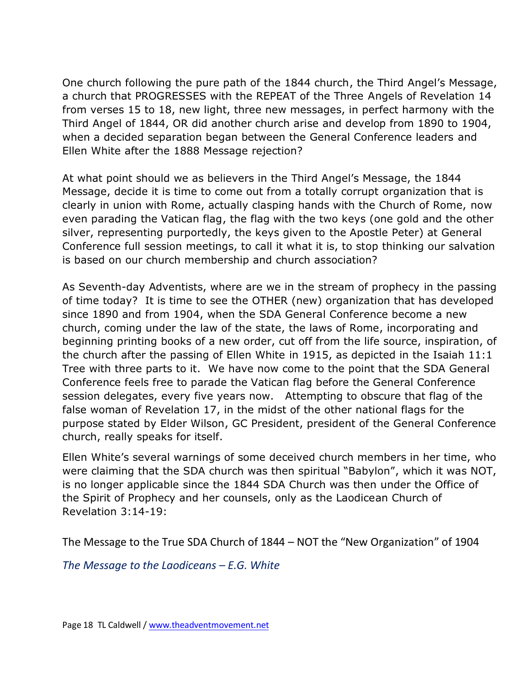One church following the pure path of the 1844 church, the Third Angel's Message, a church that PROGRESSES with the REPEAT of the Three Angels of Revelation 14 from verses 15 to 18, new light, three new messages, in perfect harmony with the Third Angel of 1844, OR did another church arise and develop from 1890 to 1904, when a decided separation began between the General Conference leaders and Ellen White after the 1888 Message rejection?

At what point should we as believers in the Third Angel's Message, the 1844 Message, decide it is time to come out from a totally corrupt organization that is clearly in union with Rome, actually clasping hands with the Church of Rome, now even parading the Vatican flag, the flag with the two keys (one gold and the other silver, representing purportedly, the keys given to the Apostle Peter) at General Conference full session meetings, to call it what it is, to stop thinking our salvation is based on our church membership and church association?

As Seventh-day Adventists, where are we in the stream of prophecy in the passing of time today? It is time to see the OTHER (new) organization that has developed since 1890 and from 1904, when the SDA General Conference become a new church, coming under the law of the state, the laws of Rome, incorporating and beginning printing books of a new order, cut off from the life source, inspiration, of the church after the passing of Ellen White in 1915, as depicted in the Isaiah 11:1 Tree with three parts to it. We have now come to the point that the SDA General Conference feels free to parade the Vatican flag before the General Conference session delegates, every five years now. Attempting to obscure that flag of the false woman of Revelation 17, in the midst of the other national flags for the purpose stated by Elder Wilson, GC President, president of the General Conference church, really speaks for itself.

Ellen White's several warnings of some deceived church members in her time, who were claiming that the SDA church was then spiritual "Babylon", which it was NOT, is no longer applicable since the 1844 SDA Church was then under the Office of the Spirit of Prophecy and her counsels, only as the Laodicean Church of Revelation 3:14-19:

The Message to the True SDA Church of 1844 – NOT the "New Organization" of 1904

*The Message to the Laodiceans – E.G. White*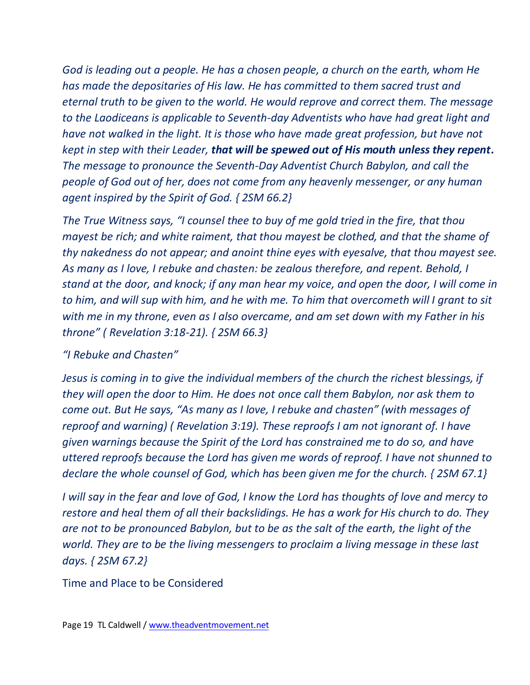*God is leading out a people. He has a chosen people, a church on the earth, whom He has made the depositaries of His law. He has committed to them sacred trust and eternal truth to be given to the world. He would reprove and correct them. The message to the Laodiceans is applicable to Seventh-day Adventists who have had great light and have not walked in the light. It is those who have made great profession, but have not kept in step with their Leader, that will be spewed out of His mouth unless they repent. The message to pronounce the Seventh-Day Adventist Church Babylon, and call the people of God out of her, does not come from any heavenly messenger, or any human agent inspired by the Spirit of God. { 2SM 66.2}* 

*The True Witness says, "I counsel thee to buy of me gold tried in the fire, that thou mayest be rich; and white raiment, that thou mayest be clothed, and that the shame of thy nakedness do not appear; and anoint thine eyes with eyesalve, that thou mayest see. As many as I love, I rebuke and chasten: be zealous therefore, and repent. Behold, I stand at the door, and knock; if any man hear my voice, and open the door, I will come in to him, and will sup with him, and he with me. To him that overcometh will I grant to sit with me in my throne, even as I also overcame, and am set down with my Father in his throne" ( Revelation 3:18-21). { 2SM 66.3}* 

## *"I Rebuke and Chasten"*

*Jesus is coming in to give the individual members of the church the richest blessings, if they will open the door to Him. He does not once call them Babylon, nor ask them to come out. But He says, "As many as I love, I rebuke and chasten" (with messages of reproof and warning) ( Revelation 3:19). These reproofs I am not ignorant of. I have given warnings because the Spirit of the Lord has constrained me to do so, and have uttered reproofs because the Lord has given me words of reproof. I have not shunned to declare the whole counsel of God, which has been given me for the church. { 2SM 67.1}* 

*I will say in the fear and love of God, I know the Lord has thoughts of love and mercy to restore and heal them of all their backslidings. He has a work for His church to do. They are not to be pronounced Babylon, but to be as the salt of the earth, the light of the world. They are to be the living messengers to proclaim a living message in these last days. { 2SM 67.2}*

Time and Place to be Considered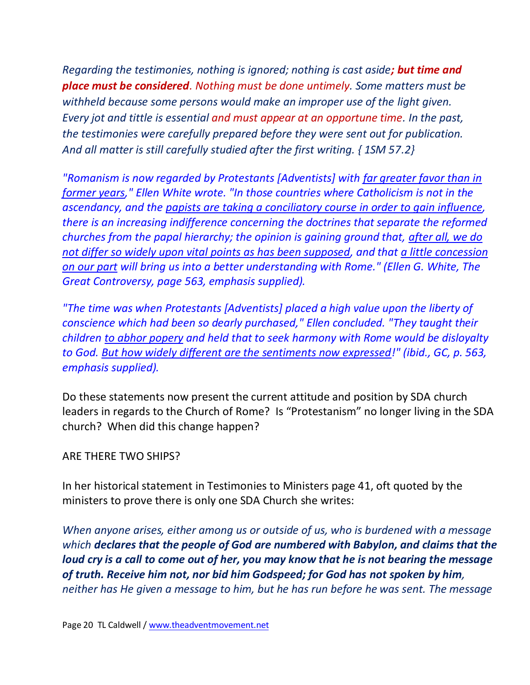*Regarding the testimonies, nothing is ignored; nothing is cast aside; but time and place must be considered. Nothing must be done untimely. Some matters must be withheld because some persons would make an improper use of the light given. Every jot and tittle is essential and must appear at an opportune time. In the past, the testimonies were carefully prepared before they were sent out for publication. And all matter is still carefully studied after the first writing. { 1SM 57.2}*

*"Romanism is now regarded by Protestants [Adventists] with far greater favor than in former years," Ellen White wrote. "In those countries where Catholicism is not in the ascendancy, and the papists are taking a conciliatory course in order to gain influence, there is an increasing indifference concerning the doctrines that separate the reformed churches from the papal hierarchy; the opinion is gaining ground that, after all, we do not differ so widely upon vital points as has been supposed, and that a little concession on our part will bring us into a better understanding with Rome." (Ellen G. White, The Great Controversy, page 563, emphasis supplied).*

*"The time was when Protestants [Adventists] placed a high value upon the liberty of conscience which had been so dearly purchased," Ellen concluded. "They taught their children to abhor popery and held that to seek harmony with Rome would be disloyalty to God. But how widely different are the sentiments now expressed!" (ibid., GC, p. 563, emphasis supplied).*

Do these statements now present the current attitude and position by SDA church leaders in regards to the Church of Rome? Is "Protestanism" no longer living in the SDA church? When did this change happen?

#### ARE THERE TWO SHIPS?

In her historical statement in Testimonies to Ministers page 41, oft quoted by the ministers to prove there is only one SDA Church she writes:

*When anyone arises, either among us or outside of us, who is burdened with a message which declares that the people of God are numbered with Babylon, and claims that the loud cry is a call to come out of her, you may know that he is not bearing the message of truth. Receive him not, nor bid him Godspeed; for God has not spoken by him, neither has He given a message to him, but he has run before he was sent. The message*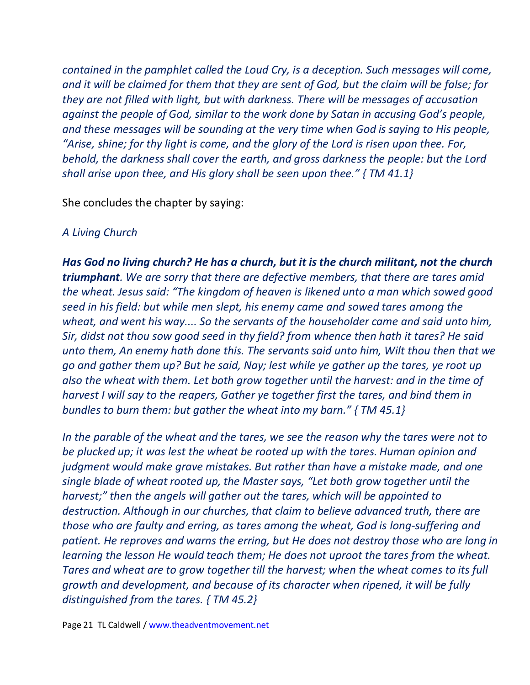*contained in the pamphlet called the Loud Cry, is a deception. Such messages will come, and it will be claimed for them that they are sent of God, but the claim will be false; for they are not filled with light, but with darkness. There will be messages of accusation against the people of God, similar to the work done by Satan in accusing God's people, and these messages will be sounding at the very time when God is saying to His people, "Arise, shine; for thy light is come, and the glory of the Lord is risen upon thee. For, behold, the darkness shall cover the earth, and gross darkness the people: but the Lord shall arise upon thee, and His glory shall be seen upon thee." { TM 41.1}*

She concludes the chapter by saying:

## *A Living Church*

*Has God no living church? He has a church, but it is the church militant, not the church triumphant. We are sorry that there are defective members, that there are tares amid the wheat. Jesus said: "The kingdom of heaven is likened unto a man which sowed good seed in his field: but while men slept, his enemy came and sowed tares among the wheat, and went his way.... So the servants of the householder came and said unto him, Sir, didst not thou sow good seed in thy field? from whence then hath it tares? He said unto them, An enemy hath done this. The servants said unto him, Wilt thou then that we go and gather them up? But he said, Nay; lest while ye gather up the tares, ye root up also the wheat with them. Let both grow together until the harvest: and in the time of harvest I will say to the reapers, Gather ye together first the tares, and bind them in bundles to burn them: but gather the wheat into my barn." { TM 45.1}* 

*In the parable of the wheat and the tares, we see the reason why the tares were not to be plucked up; it was lest the wheat be rooted up with the tares. Human opinion and judgment would make grave mistakes. But rather than have a mistake made, and one single blade of wheat rooted up, the Master says, "Let both grow together until the harvest;" then the angels will gather out the tares, which will be appointed to destruction. Although in our churches, that claim to believe advanced truth, there are those who are faulty and erring, as tares among the wheat, God is long-suffering and patient. He reproves and warns the erring, but He does not destroy those who are long in learning the lesson He would teach them; He does not uproot the tares from the wheat. Tares and wheat are to grow together till the harvest; when the wheat comes to its full growth and development, and because of its character when ripened, it will be fully distinguished from the tares. { TM 45.2}*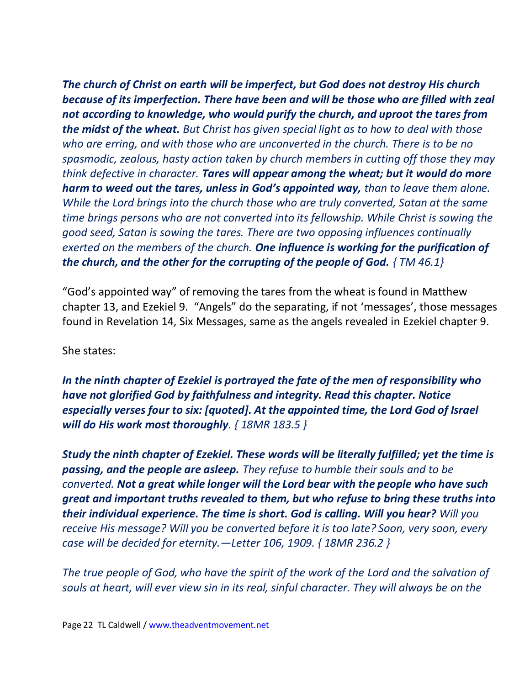*The church of Christ on earth will be imperfect, but God does not destroy His church because of its imperfection. There have been and will be those who are filled with zeal not according to knowledge, who would purify the church, and uproot the tares from the midst of the wheat. But Christ has given special light as to how to deal with those who are erring, and with those who are unconverted in the church. There is to be no spasmodic, zealous, hasty action taken by church members in cutting off those they may think defective in character. Tares will appear among the wheat; but it would do more harm to weed out the tares, unless in God's appointed way, than to leave them alone. While the Lord brings into the church those who are truly converted, Satan at the same time brings persons who are not converted into its fellowship. While Christ is sowing the good seed, Satan is sowing the tares. There are two opposing influences continually exerted on the members of the church. One influence is working for the purification of the church, and the other for the corrupting of the people of God. { TM 46.1}*

"God's appointed way" of removing the tares from the wheat is found in Matthew chapter 13, and Ezekiel 9. "Angels" do the separating, if not 'messages', those messages found in Revelation 14, Six Messages, same as the angels revealed in Ezekiel chapter 9.

She states:

*In the ninth chapter of Ezekiel is portrayed the fate of the men of responsibility who have not glorified God by faithfulness and integrity. Read this chapter. Notice especially verses four to six: [quoted]. At the appointed time, the Lord God of Israel will do His work most thoroughly. { 18MR 183.5 }*

*Study the ninth chapter of Ezekiel. These words will be literally fulfilled; yet the time is passing, and the people are asleep. They refuse to humble their souls and to be converted. Not a great while longer will the Lord bear with the people who have such great and important truths revealed to them, but who refuse to bring these truths into their individual experience. The time is short. God is calling. Will you hear? Will you receive His message? Will you be converted before it is too late? Soon, very soon, every case will be decided for eternity.—Letter 106, 1909. { 18MR 236.2 }*

*The true people of God, who have the spirit of the work of the Lord and the salvation of souls at heart, will ever view sin in its real, sinful character. They will always be on the*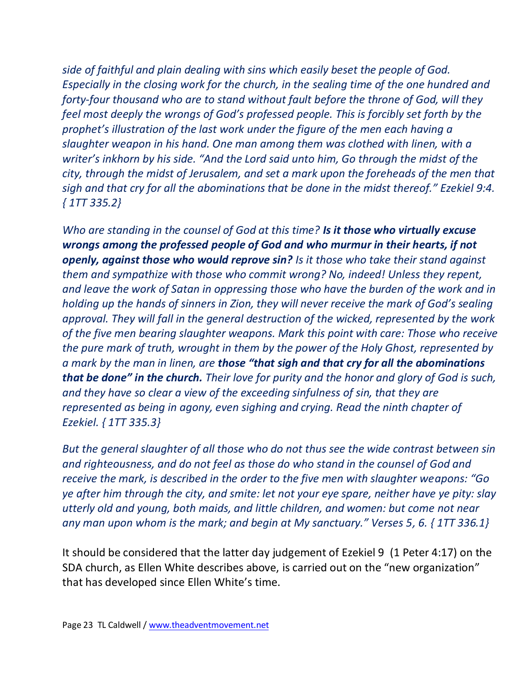*side of faithful and plain dealing with sins which easily beset the people of God. Especially in the closing work for the church, in the sealing time of the one hundred and forty-four thousand who are to stand without fault before the throne of God, will they feel most deeply the wrongs of God's professed people. This is forcibly set forth by the prophet's illustration of the last work under the figure of the men each having a slaughter weapon in his hand. One man among them was clothed with linen, with a writer's inkhorn by his side. "And the Lord said unto him, Go through the midst of the city, through the midst of Jerusalem, and set a mark upon the foreheads of the men that sigh and that cry for all the abominations that be done in the midst thereof." Ezekiel 9:4. { 1TT 335.2}* 

*Who are standing in the counsel of God at this time? Is it those who virtually excuse wrongs among the professed people of God and who murmur in their hearts, if not openly, against those who would reprove sin? Is it those who take their stand against them and sympathize with those who commit wrong? No, indeed! Unless they repent, and leave the work of Satan in oppressing those who have the burden of the work and in holding up the hands of sinners in Zion, they will never receive the mark of God's sealing approval. They will fall in the general destruction of the wicked, represented by the work of the five men bearing slaughter weapons. Mark this point with care: Those who receive the pure mark of truth, wrought in them by the power of the Holy Ghost, represented by a mark by the man in linen, are those "that sigh and that cry for all the abominations that be done" in the church. Their love for purity and the honor and glory of God is such, and they have so clear a view of the exceeding sinfulness of sin, that they are represented as being in agony, even sighing and crying. Read the ninth chapter of Ezekiel. { 1TT 335.3}* 

*But the general slaughter of all those who do not thus see the wide contrast between sin and righteousness, and do not feel as those do who stand in the counsel of God and receive the mark, is described in the order to the five men with slaughter weapons: "Go ye after him through the city, and smite: let not your eye spare, neither have ye pity: slay utterly old and young, both maids, and little children, and women: but come not near any man upon whom is the mark; and begin at My sanctuary." Verses 5, 6. { 1TT 336.1}*

It should be considered that the latter day judgement of Ezekiel 9 (1 Peter 4:17) on the SDA church, as Ellen White describes above, is carried out on the "new organization" that has developed since Ellen White's time.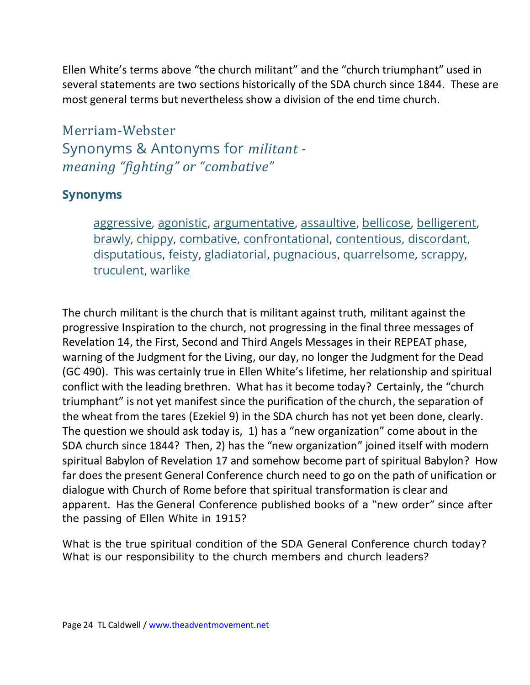Ellen White's terms above "the church militant" and the "church triumphant" used in several statements are two sections historically of the SDA church since 1844. These are most general terms but nevertheless show a division of the end time church.

Merriam-Webster Synonyms & Antonyms for *militant meaning "fighting" or "combative"*

# **Synonyms**

[aggressive,](https://www.merriam-webster.com/dictionary/aggressive) [agonistic,](https://www.merriam-webster.com/dictionary/agonistic) [argumentative,](https://www.merriam-webster.com/dictionary/argumentative) [assaultive,](https://www.merriam-webster.com/dictionary/assaultive) [bellicose,](https://www.merriam-webster.com/dictionary/bellicose) [belligerent,](https://www.merriam-webster.com/dictionary/belligerent) [brawly,](https://www.merriam-webster.com/dictionary/brawly) [chippy,](https://www.merriam-webster.com/dictionary/chippy) [combative,](https://www.merriam-webster.com/dictionary/combative) [confrontational,](https://www.merriam-webster.com/dictionary/confrontational) [contentious,](https://www.merriam-webster.com/dictionary/contentious) [discordant,](https://www.merriam-webster.com/dictionary/discordant) [disputatious,](https://www.merriam-webster.com/dictionary/disputatious) [feisty,](https://www.merriam-webster.com/dictionary/feisty) [gladiatorial,](https://www.merriam-webster.com/dictionary/gladiatorial) [pugnacious,](https://www.merriam-webster.com/dictionary/pugnacious) [quarrelsome,](https://www.merriam-webster.com/dictionary/quarrelsome) [scrappy,](https://www.merriam-webster.com/dictionary/scrappy) [truculent,](https://www.merriam-webster.com/dictionary/truculent) [warlike](https://www.merriam-webster.com/dictionary/warlike)

The church militant is the church that is militant against truth, militant against the progressive Inspiration to the church, not progressing in the final three messages of Revelation 14, the First, Second and Third Angels Messages in their REPEAT phase, warning of the Judgment for the Living, our day, no longer the Judgment for the Dead (GC 490). This was certainly true in Ellen White's lifetime, her relationship and spiritual conflict with the leading brethren. What has it become today? Certainly, the "church triumphant" is not yet manifest since the purification of the church, the separation of the wheat from the tares (Ezekiel 9) in the SDA church has not yet been done, clearly. The question we should ask today is, 1) has a "new organization" come about in the SDA church since 1844? Then, 2) has the "new organization" joined itself with modern spiritual Babylon of Revelation 17 and somehow become part of spiritual Babylon? How far does the present General Conference church need to go on the path of unification or dialogue with Church of Rome before that spiritual transformation is clear and apparent. Has the General Conference published books of a "new order" since after the passing of Ellen White in 1915?

What is the true spiritual condition of the SDA General Conference church today? What is our responsibility to the church members and church leaders?